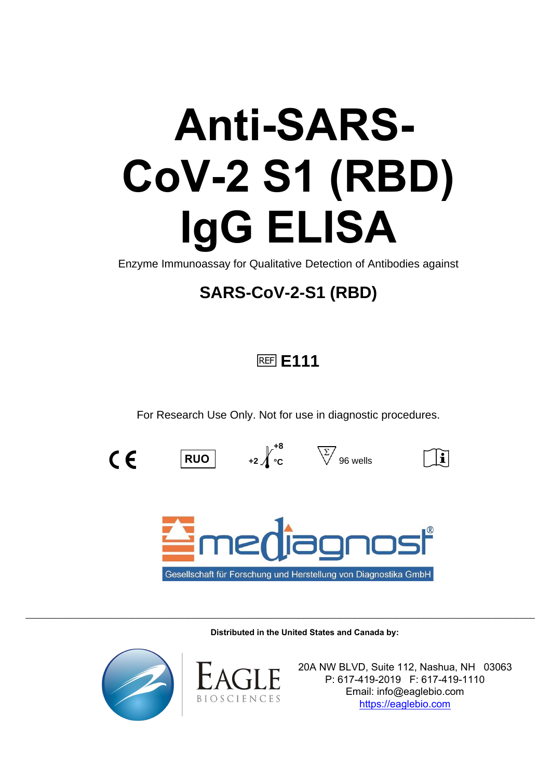# **Anti-SARS-CoV-2 S1 (RBD) IgG ELISA**

Enzyme Immunoassay for Qualitative Detection of Antibodies against

# **SARS-CoV-2-S1 (RBD)**

# h**E111**

For Research Use Only. Not for use in diagnostic procedures.

**+8**



**RUO**  $|$  **+2** $\int_0^1$  **c**  $\sqrt{}$  96 wells

 $|\mathbf{\tilde{i}}|$ 



**Distributed in the United States and Canada by:**

\_\_\_\_\_\_\_\_\_\_\_\_\_\_\_\_\_\_\_\_\_\_\_\_\_\_\_\_\_\_\_\_\_\_\_\_\_\_\_\_\_\_\_\_\_\_\_\_\_\_\_\_\_\_\_\_\_\_\_\_\_\_\_\_\_\_\_\_\_\_\_\_\_\_\_\_\_\_\_\_\_\_\_\_\_\_\_\_\_\_\_\_\_\_\_\_\_\_\_\_\_\_\_\_\_\_\_\_\_\_





20A NW BLVD, Suite 112, Nashua, NH 03063 P: 617-419-2019 F: 617-419-1110 Email: info@eaglebio.com [https://eaglebio.com](https://eaglebio.com/)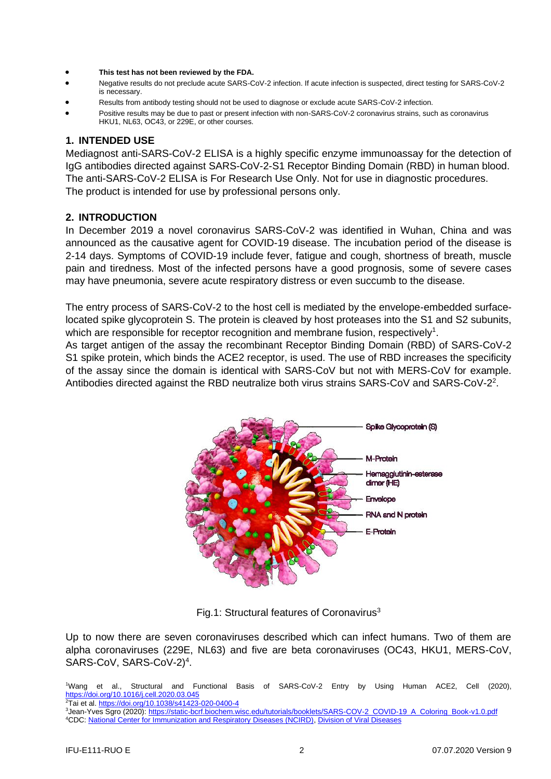- **This test has not been reviewed by the FDA.**
- Negative results do not preclude acute SARS-CoV-2 infection. If acute infection is suspected, direct testing for SARS-CoV-2 is necessary.
- Results from antibody testing should not be used to diagnose or exclude acute SARS-CoV-2 infection.
- Positive results may be due to past or present infection with non-SARS-CoV-2 coronavirus strains, such as coronavirus HKU1, NL63, OC43, or 229E, or other courses.

#### **1. INTENDED USE**

Mediagnost anti-SARS-CoV-2 ELISA is a highly specific enzyme immunoassay for the detection of IgG antibodies directed against SARS-CoV-2-S1 Receptor Binding Domain (RBD) in human blood. The anti-SARS-CoV-2 ELISA is For Research Use Only. Not for use in diagnostic procedures. The product is intended for use by professional persons only.

#### **2. INTRODUCTION**

In December 2019 a novel coronavirus SARS-CoV-2 was identified in Wuhan, China and was announced as the causative agent for COVID-19 disease. The incubation period of the disease is 2-14 days. Symptoms of COVID-19 include fever, fatigue and cough, shortness of breath, muscle pain and tiredness. Most of the infected persons have a good prognosis, some of severe cases may have pneumonia, severe acute respiratory distress or even succumb to the disease.

The entry process of SARS-CoV-2 to the host cell is mediated by the envelope-embedded surfacelocated spike glycoprotein S. The protein is cleaved by host proteases into the S1 and S2 subunits, which are responsible for receptor recognition and membrane fusion, respectively<sup>1</sup>.

As target antigen of the assay the recombinant Receptor Binding Domain (RBD) of SARS-CoV-2 S1 spike protein, which binds the ACE2 receptor, is used. The use of RBD increases the specificity of the assay since the domain is identical with SARS-CoV but not with MERS-CoV for example. Antibodies directed against the RBD neutralize both virus strains SARS-CoV and SARS-CoV-2<sup>2</sup>.



Fig.1: Structural features of Coronavirus<sup>3</sup>

Up to now there are seven coronaviruses described which can infect humans. Two of them are alpha coronaviruses (229E, NL63) and five are beta coronaviruses (OC43, HKU1, MERS-CoV, SARS-CoV, SARS-CoV-2)<sup>4</sup>.

<sup>1</sup>Wang et al., Structural and Functional Basis of SARS-CoV-2 Entry by Using Human ACE2, Cell (2020), <https://doi.org/10.1016/j.cell.2020.03.045> <sup>2</sup>Tai et al[. https://doi.org/10.1038/s41423-020-0400-4](https://doi.org/10.1038/s41423-020-0400-4)

3Jean-Yves Sgro (2020)[: https://static-bcrf.biochem.wisc.edu/tutorials/booklets/SARS-COV-2\\_COVID-19\\_A\\_Coloring\\_Book-v1.0.pdf](https://static-bcrf.biochem.wisc.edu/tutorials/booklets/SARS-COV-2_COVID-19_A_Coloring_Book-v1.0.pdf) <sup>4</sup>CDC: [National Center for Immunization and Respiratory Diseases \(NCIRD\),](https://www.cdc.gov/ncird/index.html) [Division of Viral Diseases](https://www.cdc.gov/ncird/dvd.html)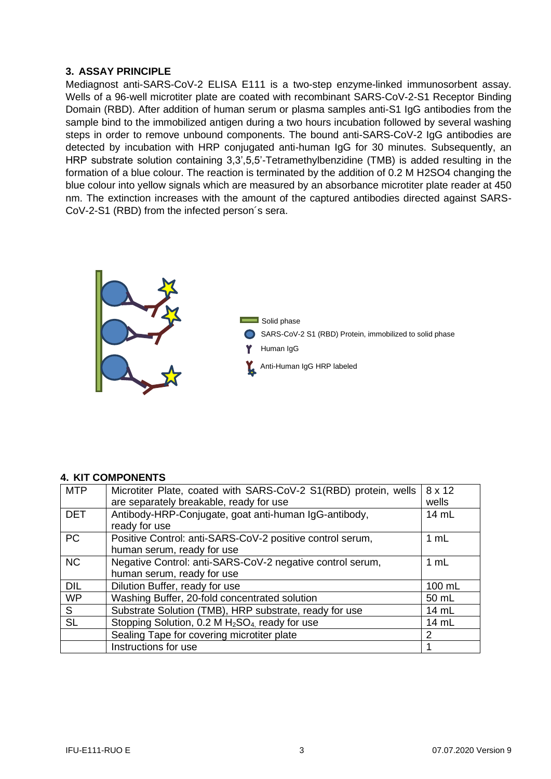#### **3. ASSAY PRINCIPLE**

Mediagnost anti-SARS-CoV-2 ELISA E111 is a two-step enzyme-linked immunosorbent assay. Wells of a 96-well microtiter plate are coated with recombinant SARS-CoV-2-S1 Receptor Binding Domain (RBD). After addition of human serum or plasma samples anti-S1 IgG antibodies from the sample bind to the immobilized antigen during a two hours incubation followed by several washing steps in order to remove unbound components. The bound anti-SARS-CoV-2 IgG antibodies are detected by incubation with HRP conjugated anti-human IgG for 30 minutes. Subsequently, an HRP substrate solution containing 3,3',5,5'-Tetramethylbenzidine (TMB) is added resulting in the formation of a blue colour. The reaction is terminated by the addition of 0.2 M H2SO4 changing the blue colour into yellow signals which are measured by an absorbance microtiter plate reader at 450 nm. The extinction increases with the amount of the captured antibodies directed against SARS-CoV-2-S1 (RBD) from the infected person´s sera.



#### **4. KIT COMPONENTS**

| <b>MTP</b> | Microtiter Plate, coated with SARS-CoV-2 S1(RBD) protein, wells<br>are separately breakable, ready for use | 8 x 12<br>wells |
|------------|------------------------------------------------------------------------------------------------------------|-----------------|
| <b>DET</b> | Antibody-HRP-Conjugate, goat anti-human IgG-antibody,<br>ready for use                                     | 14 mL           |
| <b>PC</b>  | Positive Control: anti-SARS-CoV-2 positive control serum,<br>human serum, ready for use                    | 1 mL            |
| <b>NC</b>  | Negative Control: anti-SARS-CoV-2 negative control serum,<br>human serum, ready for use                    | 1 mL            |
| <b>DIL</b> | Dilution Buffer, ready for use                                                                             | 100 mL          |
| <b>WP</b>  | Washing Buffer, 20-fold concentrated solution                                                              | 50 mL           |
| S          | Substrate Solution (TMB), HRP substrate, ready for use                                                     | 14 mL           |
| <b>SL</b>  | Stopping Solution, 0.2 M H <sub>2</sub> SO <sub>4</sub> ready for use                                      | 14 mL           |
|            | Sealing Tape for covering microtiter plate                                                                 | $\mathcal{P}$   |
|            | Instructions for use                                                                                       |                 |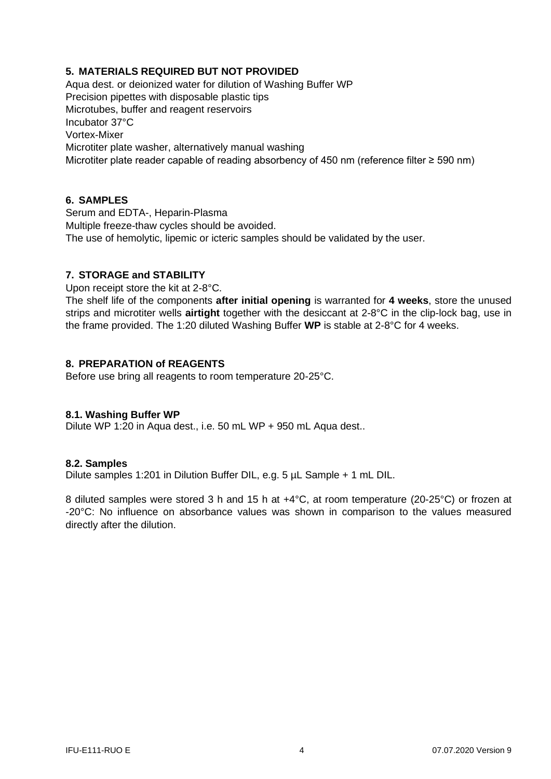# **5. MATERIALS REQUIRED BUT NOT PROVIDED**

Aqua dest. or deionized water for dilution of Washing Buffer WP Precision pipettes with disposable plastic tips Microtubes, buffer and reagent reservoirs Incubator 37°C Vortex-Mixer Microtiter plate washer, alternatively manual washing Microtiter plate reader capable of reading absorbency of 450 nm (reference filter ≥ 590 nm)

#### **6. SAMPLES**

Serum and EDTA-, Heparin-Plasma Multiple freeze-thaw cycles should be avoided. The use of hemolytic, lipemic or icteric samples should be validated by the user.

#### **7. STORAGE and STABILITY**

Upon receipt store the kit at 2-8°C.

The shelf life of the components **after initial opening** is warranted for **4 weeks**, store the unused strips and microtiter wells **airtight** together with the desiccant at 2-8°C in the clip-lock bag, use in the frame provided. The 1:20 diluted Washing Buffer **WP** is stable at 2-8°C for 4 weeks.

# **8. PREPARATION of REAGENTS**

Before use bring all reagents to room temperature 20-25°C.

#### **8.1. Washing Buffer WP**

Dilute WP 1:20 in Aqua dest., i.e. 50 mL WP + 950 mL Aqua dest..

#### **8.2. Samples**

Dilute samples 1:201 in Dilution Buffer DIL, e.g. 5 µL Sample + 1 mL DIL.

8 diluted samples were stored 3 h and 15 h at +4°C, at room temperature (20-25°C) or frozen at -20°C: No influence on absorbance values was shown in comparison to the values measured directly after the dilution.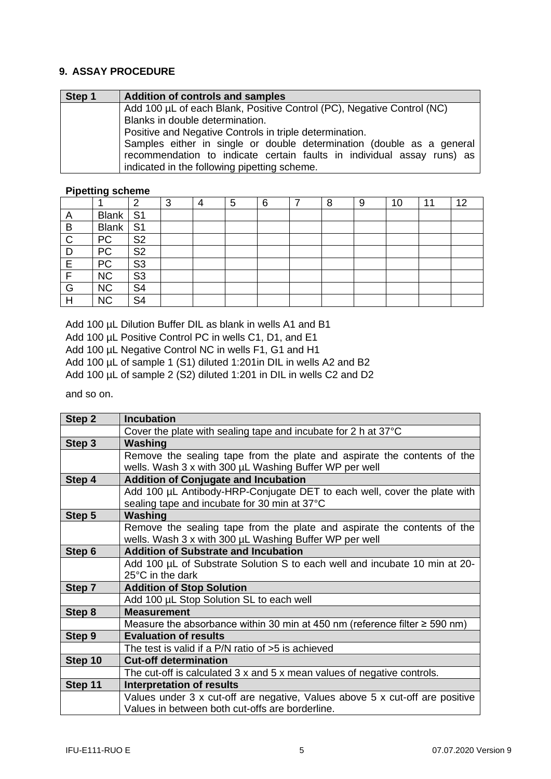# **9. ASSAY PROCEDURE**

| Step 1 | <b>Addition of controls and samples</b>                                                                                                                                                         |  |  |  |  |  |  |
|--------|-------------------------------------------------------------------------------------------------------------------------------------------------------------------------------------------------|--|--|--|--|--|--|
|        | Add 100 µL of each Blank, Positive Control (PC), Negative Control (NC)                                                                                                                          |  |  |  |  |  |  |
|        | Blanks in double determination.                                                                                                                                                                 |  |  |  |  |  |  |
|        | Positive and Negative Controls in triple determination.                                                                                                                                         |  |  |  |  |  |  |
|        | Samples either in single or double determination (double as a general<br>recommendation to indicate certain faults in individual assay runs) as<br>indicated in the following pipetting scheme. |  |  |  |  |  |  |

# **Pipetting scheme**

|              |              | ◠              | ົ<br>C | 5 | 6 | 8 | 9 | 10 | 44 | 12 |
|--------------|--------------|----------------|--------|---|---|---|---|----|----|----|
| $\mathsf{A}$ | <b>Blank</b> | S <sub>1</sub> |        |   |   |   |   |    |    |    |
| B            | <b>Blank</b> | S <sub>1</sub> |        |   |   |   |   |    |    |    |
| C            | PC           | S <sub>2</sub> |        |   |   |   |   |    |    |    |
|              | PC           | S <sub>2</sub> |        |   |   |   |   |    |    |    |
| E            | PC           | S <sub>3</sub> |        |   |   |   |   |    |    |    |
|              | <b>NC</b>    | S <sub>3</sub> |        |   |   |   |   |    |    |    |
| G            | <b>NC</b>    | S <sub>4</sub> |        |   |   |   |   |    |    |    |
| Н            | <b>NC</b>    | S4             |        |   |   |   |   |    |    |    |

Add 100 µL Dilution Buffer DIL as blank in wells A1 and B1 Add 100 µL Positive Control PC in wells C1, D1, and E1 Add 100 µL Negative Control NC in wells F1, G1 and H1

Add 100 µL of sample 1 (S1) diluted 1:201 in DIL in wells A2 and B2

Add 100 µL of sample 2 (S2) diluted 1:201 in DIL in wells C2 and D2

and so on.

| Step 2  | <b>Incubation</b>                                                              |
|---------|--------------------------------------------------------------------------------|
|         | Cover the plate with sealing tape and incubate for 2 h at $37^{\circ}$ C       |
| Step 3  | Washing                                                                        |
|         | Remove the sealing tape from the plate and aspirate the contents of the        |
|         | wells. Wash 3 x with 300 µL Washing Buffer WP per well                         |
| Step 4  | <b>Addition of Conjugate and Incubation</b>                                    |
|         | Add 100 µL Antibody-HRP-Conjugate DET to each well, cover the plate with       |
|         | sealing tape and incubate for 30 min at 37°C                                   |
| Step 5  | Washing                                                                        |
|         | Remove the sealing tape from the plate and aspirate the contents of the        |
|         | wells. Wash 3 x with 300 µL Washing Buffer WP per well                         |
| Step 6  | <b>Addition of Substrate and Incubation</b>                                    |
|         | Add 100 µL of Substrate Solution S to each well and incubate 10 min at 20-     |
|         | $25^{\circ}$ C in the dark                                                     |
| Step 7  | <b>Addition of Stop Solution</b>                                               |
|         | Add 100 µL Stop Solution SL to each well                                       |
| Step 8  | <b>Measurement</b>                                                             |
|         | Measure the absorbance within 30 min at 450 nm (reference filter $\ge$ 590 nm) |
| Step 9  | <b>Evaluation of results</b>                                                   |
|         | The test is valid if a $P/N$ ratio of $>5$ is achieved                         |
| Step 10 | <b>Cut-off determination</b>                                                   |
|         | The cut-off is calculated 3 x and 5 x mean values of negative controls.        |
| Step 11 | <b>Interpretation of results</b>                                               |
|         | Values under 3 x cut-off are negative, Values above 5 x cut-off are positive   |
|         | Values in between both cut-offs are borderline.                                |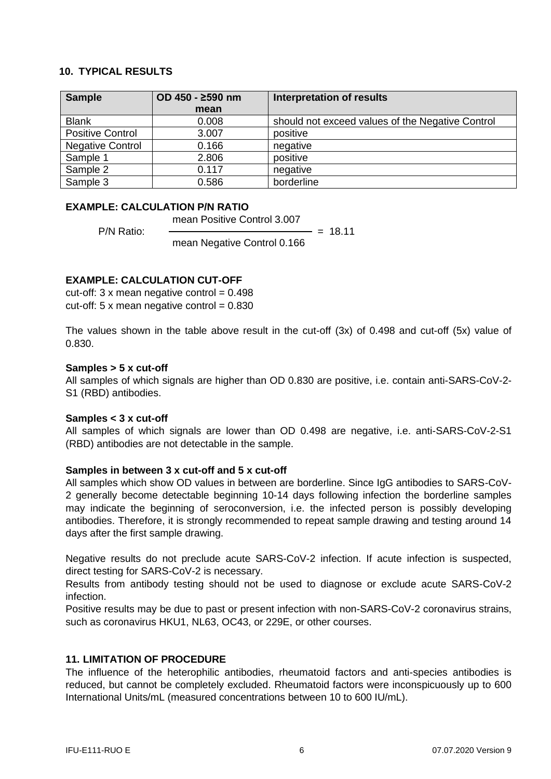#### **10. TYPICAL RESULTS**

| <b>Sample</b>           | OD 450 - ≥590 nm | <b>Interpretation of results</b>                 |
|-------------------------|------------------|--------------------------------------------------|
|                         | mean             |                                                  |
| <b>Blank</b>            | 0.008            | should not exceed values of the Negative Control |
| <b>Positive Control</b> | 3.007            | positive                                         |
| Negative Control        | 0.166            | negative                                         |
| Sample 1                | 2.806            | positive                                         |
| Sample 2                | 0.117            | negative                                         |
| Sample 3                | 0.586            | borderline                                       |

# **EXAMPLE: CALCULATION P/N RATIO**

mean Positive Control 3.007

 $P/N$  Ratio:  $\qquad \qquad =$ 

mean Negative Control 0.166

# **EXAMPLE: CALCULATION CUT-OFF**

cut-off:  $3 \times$  mean negative control =  $0.498$ cut-off:  $5 \times$  mean negative control = 0.830

The values shown in the table above result in the cut-off (3x) of 0.498 and cut-off (5x) value of 0.830.

#### **Samples > 5 x cut-off**

All samples of which signals are higher than OD 0.830 are positive, i.e. contain anti-SARS-CoV-2- S1 (RBD) antibodies.

#### **Samples < 3 x cut-off**

All samples of which signals are lower than OD 0.498 are negative, i.e. anti-SARS-CoV-2-S1 (RBD) antibodies are not detectable in the sample.

#### **Samples in between 3 x cut-off and 5 x cut-off**

All samples which show OD values in between are borderline. Since IgG antibodies to SARS-CoV-2 generally become detectable beginning 10-14 days following infection the borderline samples may indicate the beginning of seroconversion, i.e. the infected person is possibly developing antibodies. Therefore, it is strongly recommended to repeat sample drawing and testing around 14 days after the first sample drawing.

Negative results do not preclude acute SARS-CoV-2 infection. If acute infection is suspected, direct testing for SARS-CoV-2 is necessary.

Results from antibody testing should not be used to diagnose or exclude acute SARS-CoV-2 infection.

Positive results may be due to past or present infection with non-SARS-CoV-2 coronavirus strains, such as coronavirus HKU1, NL63, OC43, or 229E, or other courses.

#### **11. LIMITATION OF PROCEDURE**

The influence of the heterophilic antibodies, rheumatoid factors and anti-species antibodies is reduced, but cannot be completely excluded. Rheumatoid factors were inconspicuously up to 600 International Units/mL (measured concentrations between 10 to 600 IU/mL).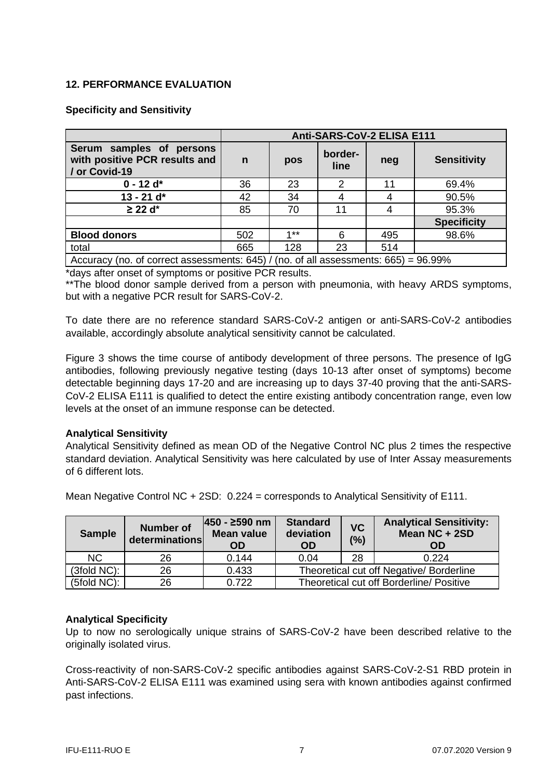# **12. PERFORMANCE EVALUATION**

#### **Specificity and Sensitivity**

|                                                                                           | Anti-SARS-CoV-2 ELISA E111 |         |                 |     |                    |  |  |  |
|-------------------------------------------------------------------------------------------|----------------------------|---------|-----------------|-----|--------------------|--|--|--|
| Serum samples of persons<br>with positive PCR results and<br>/ or Covid-19                | $\mathbf n$                | pos     | border-<br>line | neg | <b>Sensitivity</b> |  |  |  |
| $0 - 12$ d <sup>*</sup>                                                                   | 36                         | 23      | 2               | 11  | 69.4%              |  |  |  |
| $13 - 21$ d*                                                                              | 42                         | 34      | 4               |     | 90.5%              |  |  |  |
| $\geq$ 22 d*                                                                              | 85                         | 70      | 11              |     | 95.3%              |  |  |  |
|                                                                                           |                            |         |                 |     | <b>Specificity</b> |  |  |  |
| <b>Blood donors</b>                                                                       | 502                        | $4 * *$ | 6               | 495 | 98.6%              |  |  |  |
| total                                                                                     | 665                        | 128     | 23              | 514 |                    |  |  |  |
| Accuracy (no. of correct assessments: $645$ ) / (no. of all assessments: $665$ ) = 96.99% |                            |         |                 |     |                    |  |  |  |

\*days after onset of symptoms or positive PCR results.

\*\*The blood donor sample derived from a person with pneumonia, with heavy ARDS symptoms, but with a negative PCR result for SARS-CoV-2.

To date there are no reference standard SARS-CoV-2 antigen or anti-SARS-CoV-2 antibodies available, accordingly absolute analytical sensitivity cannot be calculated.

Figure 3 shows the time course of antibody development of three persons. The presence of IgG antibodies, following previously negative testing (days 10-13 after onset of symptoms) become detectable beginning days 17-20 and are increasing up to days 37-40 proving that the anti-SARS-CoV-2 ELISA E111 is qualified to detect the entire existing antibody concentration range, even low levels at the onset of an immune response can be detected.

#### **Analytical Sensitivity**

Analytical Sensitivity defined as mean OD of the Negative Control NC plus 2 times the respective standard deviation. Analytical Sensitivity was here calculated by use of Inter Assay measurements of 6 different lots.

| <b>Sample</b>  | <b>Number of</b><br>determinations | 450 - ≥590 nm<br><b>Mean value</b><br><b>OD</b> | <b>Standard</b><br>deviation<br><b>OD</b> | <b>VC</b><br>(%) | <b>Analytical Sensitivity:</b><br>Mean NC + 2SD<br>OD |  |  |  |
|----------------|------------------------------------|-------------------------------------------------|-------------------------------------------|------------------|-------------------------------------------------------|--|--|--|
| NC.            | 26                                 | 0.144                                           | 0.04                                      | 28               | 0.224                                                 |  |  |  |
| $(3fold NC)$ : | 26                                 | 0.433                                           | Theoretical cut off Negative/ Borderline  |                  |                                                       |  |  |  |
| $(5fold NC)$ : | 26                                 | 0.722                                           | Theoretical cut off Borderline/ Positive  |                  |                                                       |  |  |  |

Mean Negative Control NC + 2SD: 0.224 = corresponds to Analytical Sensitivity of E111.

#### **Analytical Specificity**

Up to now no serologically unique strains of SARS-CoV-2 have been described relative to the originally isolated virus.

Cross-reactivity of non-SARS-CoV-2 specific antibodies against SARS-CoV-2-S1 RBD protein in Anti-SARS-CoV-2 ELISA E111 was examined using sera with known antibodies against confirmed past infections.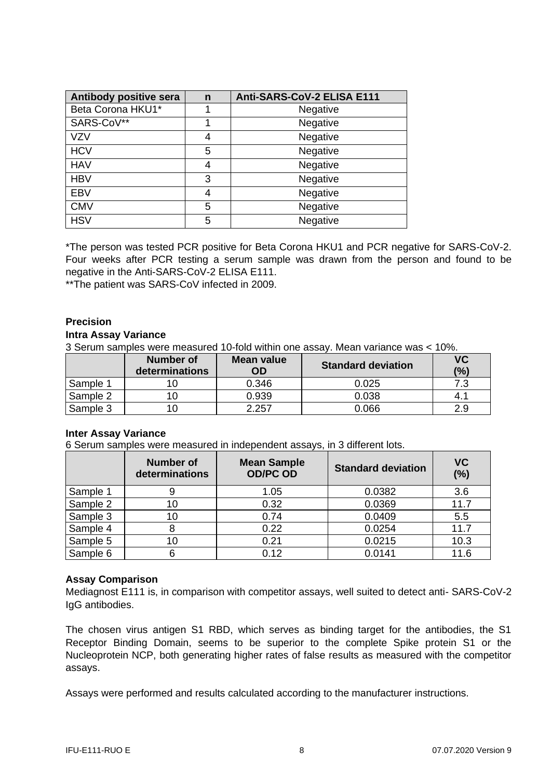| Antibody positive sera | $\mathbf n$ | Anti-SARS-CoV-2 ELISA E111 |
|------------------------|-------------|----------------------------|
| Beta Corona HKU1*      |             | Negative                   |
| SARS-CoV**             |             | Negative                   |
| <b>VZV</b>             | 4           | Negative                   |
| <b>HCV</b>             | 5           | Negative                   |
| <b>HAV</b>             | 4           | Negative                   |
| <b>HBV</b>             | 3           | Negative                   |
| <b>EBV</b>             | 4           | Negative                   |
| <b>CMV</b>             | 5           | Negative                   |
| <b>HSV</b>             | 5           | Negative                   |

\*The person was tested PCR positive for Beta Corona HKU1 and PCR negative for SARS-CoV-2. Four weeks after PCR testing a serum sample was drawn from the person and found to be negative in the Anti-SARS-CoV-2 ELISA E111.

\*\*The patient was SARS-CoV infected in 2009.

#### **Precision**

#### **Intra Assay Variance**

3 Serum samples were measured 10-fold within one assay. Mean variance was < 10%.

|          | Number of<br>determinations | Mean value<br>OD | <b>Standard deviation</b> | <b>VC</b><br>(%) |
|----------|-----------------------------|------------------|---------------------------|------------------|
| Sample 1 |                             | 0.346            | 0.025                     | 7.3              |
| Sample 2 |                             | 0.939            | 0.038                     |                  |
| Sample 3 |                             | 2.257            | 0.066                     | 2.9              |

#### **Inter Assay Variance**

6 Serum samples were measured in independent assays, in 3 different lots.

|          | Number of<br>determinations | <b>Mean Sample</b><br><b>OD/PC OD</b> | <b>Standard deviation</b> | <b>VC</b><br>(%) |
|----------|-----------------------------|---------------------------------------|---------------------------|------------------|
| Sample 1 |                             | 1.05                                  | 0.0382                    | 3.6              |
| Sample 2 | 10                          | 0.32                                  | 0.0369                    | 11.7             |
| Sample 3 | 10                          | 0.74                                  | 0.0409                    | 5.5              |
| Sample 4 |                             | 0.22                                  | 0.0254                    | 11.7             |
| Sample 5 | 10                          | 0.21                                  | 0.0215                    | 10.3             |
| Sample 6 |                             | 0.12                                  | 0.0141                    | 11.6             |

#### **Assay Comparison**

Mediagnost E111 is, in comparison with competitor assays, well suited to detect anti- SARS-CoV-2 IgG antibodies.

The chosen virus antigen S1 RBD, which serves as binding target for the antibodies, the S1 Receptor Binding Domain, seems to be superior to the complete Spike protein S1 or the Nucleoprotein NCP, both generating higher rates of false results as measured with the competitor assays.

Assays were performed and results calculated according to the manufacturer instructions.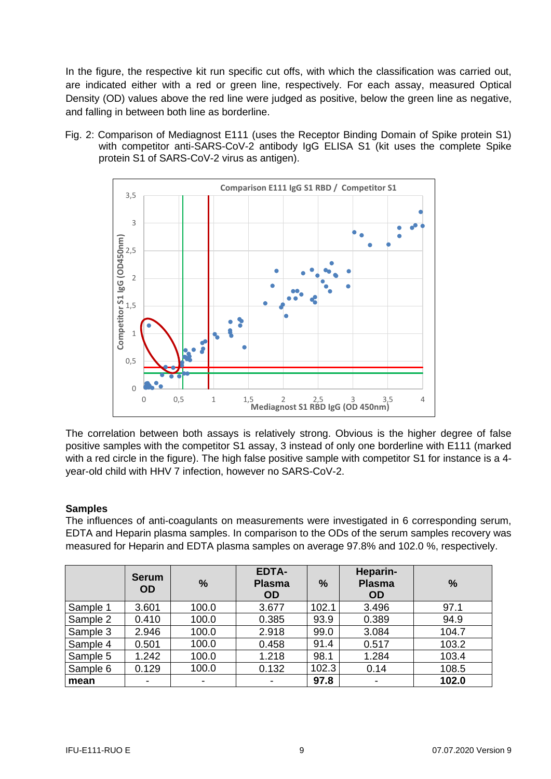In the figure, the respective kit run specific cut offs, with which the classification was carried out, are indicated either with a red or green line, respectively. For each assay, measured Optical Density (OD) values above the red line were judged as positive, below the green line as negative, and falling in between both line as borderline.

Fig. 2: Comparison of Mediagnost E111 (uses the Receptor Binding Domain of Spike protein S1) with competitor anti-SARS-CoV-2 antibody IgG ELISA S1 (kit uses the complete Spike protein S1 of SARS-CoV-2 virus as antigen).



The correlation between both assays is relatively strong. Obvious is the higher degree of false positive samples with the competitor S1 assay, 3 instead of only one borderline with E111 (marked with a red circle in the figure). The high false positive sample with competitor S1 for instance is a 4year-old child with HHV 7 infection, however no SARS-CoV-2.

#### **Samples**

The influences of anti-coagulants on measurements were investigated in 6 corresponding serum, EDTA and Heparin plasma samples. In comparison to the ODs of the serum samples recovery was measured for Heparin and EDTA plasma samples on average 97.8% and 102.0 %, respectively.

|          | <b>Serum</b><br><b>OD</b> | $\frac{9}{6}$ | <b>EDTA-</b><br><b>Plasma</b><br><b>OD</b> | $\%$  | Heparin-<br><b>Plasma</b><br><b>OD</b> | $\frac{9}{6}$ |
|----------|---------------------------|---------------|--------------------------------------------|-------|----------------------------------------|---------------|
| Sample 1 | 3.601                     | 100.0         | 3.677                                      | 102.1 | 3.496                                  | 97.1          |
| Sample 2 | 0.410                     | 100.0         | 0.385                                      | 93.9  | 0.389                                  | 94.9          |
| Sample 3 | 2.946                     | 100.0         | 2.918                                      | 99.0  | 3.084                                  | 104.7         |
| Sample 4 | 0.501                     | 100.0         | 0.458                                      | 91.4  | 0.517                                  | 103.2         |
| Sample 5 | 1.242                     | 100.0         | 1.218                                      | 98.1  | 1.284                                  | 103.4         |
| Sample 6 | 0.129                     | 100.0         | 0.132                                      | 102.3 | 0.14                                   | 108.5         |
| mean     | -                         | ٠             | -                                          | 97.8  | $\blacksquare$                         | 102.0         |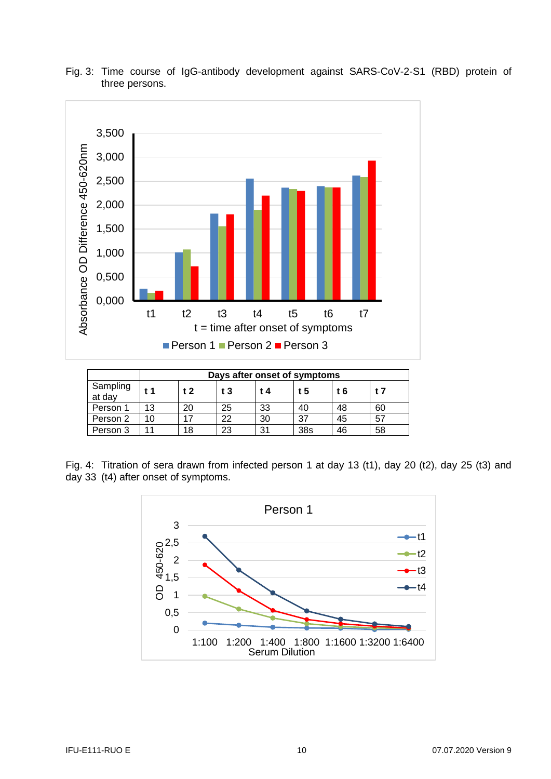



|                    | Days after onset of symptoms |                |                |     |     |     |    |  |
|--------------------|------------------------------|----------------|----------------|-----|-----|-----|----|--|
| Sampling<br>at day | f <sub>1</sub>               | t <sub>2</sub> | t <sub>3</sub> | t 4 | t 5 | t 6 | t7 |  |
| Person 1           | 13                           | 20             | 25             | 33  | 40  | 48  | 60 |  |
| Person 2           | 10                           |                | 22             | 30  | 37  | 45  | 57 |  |
| Person 3           |                              | 18             | 23             | 31  | 38s | 46  | 58 |  |

Fig. 4: Titration of sera drawn from infected person 1 at day 13 (t1), day 20 (t2), day 25 (t3) and day 33 (t4) after onset of symptoms.

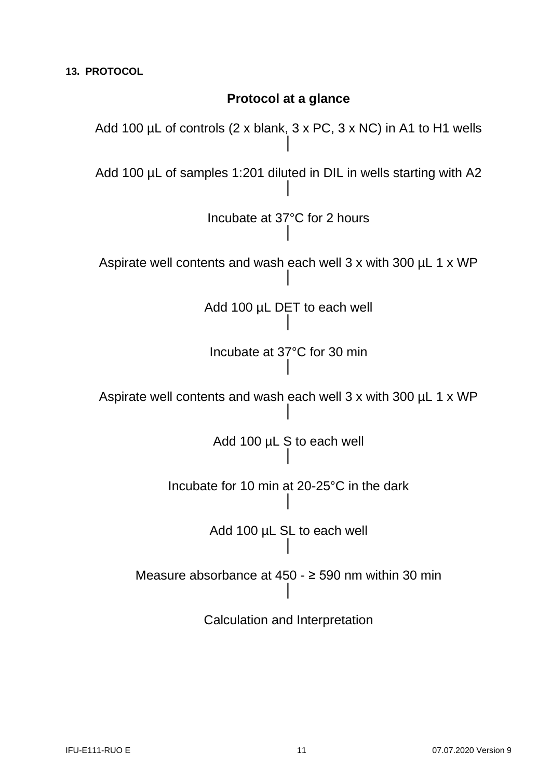# **Protocol at a glance**

Add 100 µL of controls (2 x blank, 3 x PC, 3 x NC) in A1 to H1 wells │ Add 100 µL of samples 1:201 diluted in DIL in wells starting with A2 │ Incubate at 37°C for 2 hours │ Aspirate well contents and wash each well 3 x with 300 µL 1 x WP │ Add 100 µL DET to each well │ Incubate at 37°C for 30 min │ Aspirate well contents and wash each well 3 x with 300 µL 1 x WP │ Add 100 µL S to each well │ Incubate for 10 min at 20-25°C in the dark │ Add 100 µL SL to each well │ Measure absorbance at 450 - ≥ 590 nm within 30 min │ Calculation and Interpretation